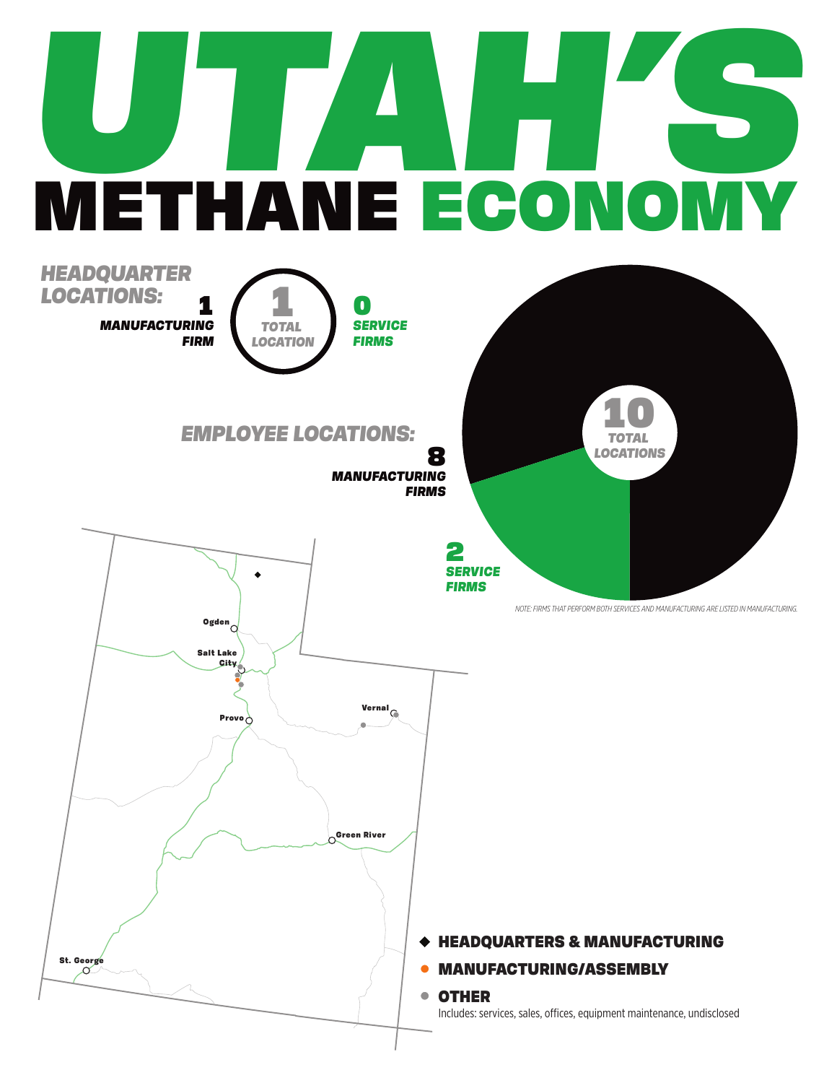## **UTAH'S** METHANE ECONOMY